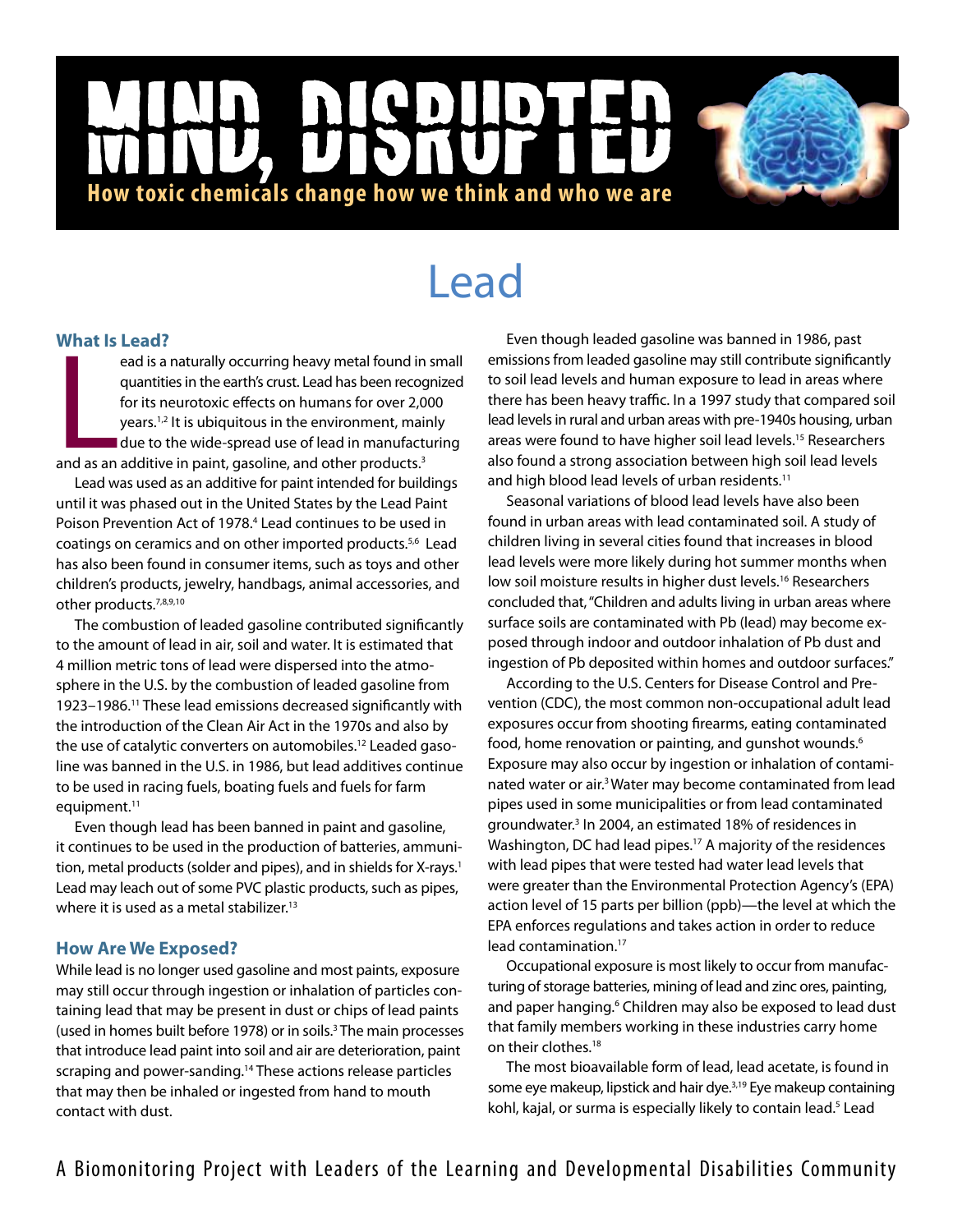## NCD |<br>|<br>| **How toxic chemicals change how we think and who we are**

# Lead

## **What Is Lead?**

**Example 18 Lead as an antividity occurring heavy metal found in**<br>quantities in the earth's crust. Lead has been recog<br>for its neurotoxic effects on humans for over 2,0<br>years.<sup>1,2</sup> It is ubiquitous in the environment, mai<br> ead is a naturally occurring heavy metal found in small quantities in the earth's crust. Lead has been recognized for its neurotoxic effects on humans for over 2,000 years.<sup>1,2</sup> It is ubiquitous in the environment, mainly I due to the wide-spread use of lead in manufacturing

Lead was used as an additive for paint intended for buildings until it was phased out in the United States by the Lead Paint Poison Prevention Act of 1978.<sup>4</sup> Lead continues to be used in coatings on ceramics and on other imported products.<sup>5,6</sup> Lead has also been found in consumer items, such as toys and other children's products, jewelry, handbags, animal accessories, and other products.7,8,9,10

 The combustion of leaded gasoline contributed significantly to the amount of lead in air, soil and water. It is estimated that 4 million metric tons of lead were dispersed into the atmosphere in the U.S. by the combustion of leaded gasoline from 1923–1986.11 These lead emissions decreased significantly with the introduction of the Clean Air Act in the 1970s and also by the use of catalytic converters on automobiles.<sup>12</sup> Leaded gasoline was banned in the U.S. in 1986, but lead additives continue to be used in racing fuels, boating fuels and fuels for farm equipment.<sup>11</sup>

Even though lead has been banned in paint and gasoline, it continues to be used in the production of batteries, ammunition, metal products (solder and pipes), and in shields for X-rays.<sup>1</sup> Lead may leach out of some PVC plastic products, such as pipes, where it is used as a metal stabilizer.<sup>13</sup>

## **How Are We Exposed?**

While lead is no longer used gasoline and most paints, exposure may still occur through ingestion or inhalation of particles containing lead that may be present in dust or chips of lead paints (used in homes built before 1978) or in soils.<sup>3</sup> The main processes that introduce lead paint into soil and air are deterioration, paint scraping and power-sanding.<sup>14</sup> These actions release particles that may then be inhaled or ingested from hand to mouth contact with dust.

Even though leaded gasoline was banned in 1986, past emissions from leaded gasoline may still contribute significantly to soil lead levels and human exposure to lead in areas where there has been heavy traffic. In a 1997 study that compared soil lead levels in rural and urban areas with pre-1940s housing, urban areas were found to have higher soil lead levels.15 Researchers also found a strong association between high soil lead levels and high blood lead levels of urban residents.<sup>11</sup>

Seasonal variations of blood lead levels have also been found in urban areas with lead contaminated soil. A study of children living in several cities found that increases in blood lead levels were more likely during hot summer months when low soil moisture results in higher dust levels.<sup>16</sup> Researchers concluded that, "Children and adults living in urban areas where surface soils are contaminated with Pb (lead) may become exposed through indoor and outdoor inhalation of Pb dust and ingestion of Pb deposited within homes and outdoor surfaces."

According to the U.S. Centers for Disease Control and Prevention (CDC), the most common non-occupational adult lead exposures occur from shooting firearms, eating contaminated food, home renovation or painting, and gunshot wounds.<sup>6</sup> Exposure may also occur by ingestion or inhalation of contaminated water or air.3 Water may become contaminated from lead pipes used in some municipalities or from lead contaminated groundwater.<sup>3</sup> In 2004, an estimated 18% of residences in Washington, DC had lead pipes.<sup>17</sup> A majority of the residences with lead pipes that were tested had water lead levels that were greater than the Environmental Protection Agency's (EPA) action level of 15 parts per billion (ppb)—the level at which the EPA enforces regulations and takes action in order to reduce lead contamination.17

Occupational exposure is most likely to occur from manufacturing of storage batteries, mining of lead and zinc ores, painting, and paper hanging.<sup>6</sup> Children may also be exposed to lead dust that family members working in these industries carry home on their clothes.18

The most bioavailable form of lead, lead acetate, is found in some eye makeup, lipstick and hair dye.<sup>3,19</sup> Eye makeup containing kohl, kajal, or surma is especially likely to contain lead.<sup>5</sup> Lead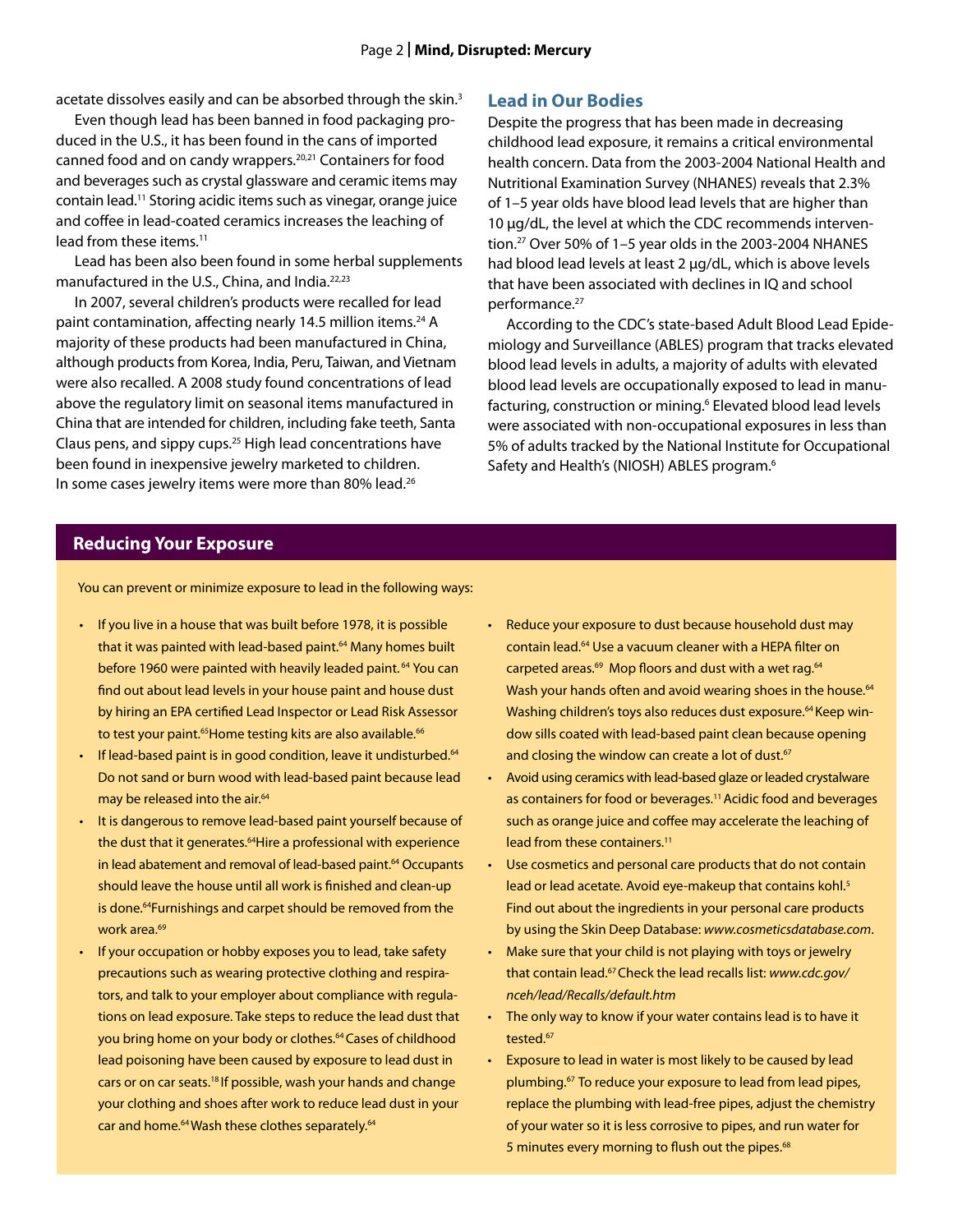acetate dissolves easily and can be absorbed through the skin.<sup>3</sup>

Even though lead has been banned in food packaging produced in the U.S., it has been found in the cans of imported canned food and on candy wrappers.20,21 Containers for food and beverages such as crystal glassware and ceramic items may contain lead.11 Storing acidic items such as vinegar, orange juice and coffee in lead-coated ceramics increases the leaching of lead from these items.<sup>11</sup>

Lead has been also been found in some herbal supplements manufactured in the U.S., China, and India.<sup>22,23</sup>

In 2007, several children's products were recalled for lead paint contamination, affecting nearly 14.5 million items.<sup>24</sup> A majority of these products had been manufactured in China, although products from Korea, India, Peru, Taiwan, and Vietnam were also recalled. A 2008 study found concentrations of lead above the regulatory limit on seasonal items manufactured in China that are intended for children, including fake teeth, Santa Claus pens, and sippy cups.25 High lead concentrations have been found in inexpensive jewelry marketed to children. In some cases jewelry items were more than 80% lead.<sup>26</sup>

#### **Lead in Our Bodies**

Despite the progress that has been made in decreasing childhood lead exposure, it remains a critical environmental health concern. Data from the 2003-2004 National Health and Nutritional Examination Survey (NHANES) reveals that 2.3% of 1–5 year olds have blood lead levels that are higher than 10 μg/dL, the level at which the CDC recommends intervention.27 Over 50% of 1–5 year olds in the 2003-2004 NHANES had blood lead levels at least 2 μg/dL, which is above levels that have been associated with declines in IQ and school performance.27

According to the CDC's state-based Adult Blood Lead Epidemiology and Surveillance (ABLES) program that tracks elevated blood lead levels in adults, a majority of adults with elevated blood lead levels are occupationally exposed to lead in manufacturing, construction or mining.<sup>6</sup> Elevated blood lead levels were associated with non-occupational exposures in less than 5% of adults tracked by the National Institute for Occupational Safety and Health's (NIOSH) ABLES program.<sup>6</sup>

## **Reducing Your Exposure**

You can prevent or minimize exposure to lead in the following ways:

- If you live in a house that was built before 1978, it is possible that it was painted with lead-based paint.<sup>64</sup> Many homes built before 1960 were painted with heavily leaded paint.<sup>64</sup> You can find out about lead levels in your house paint and house dust by hiring an EPA certified Lead Inspector or Lead Risk Assessor to test your paint.<sup>65</sup> Home testing kits are also available.<sup>66</sup>
- If lead-based paint is in good condition, leave it undisturbed.<sup>64</sup> Do not sand or burn wood with lead-based paint because lead may be released into the air.<sup>64</sup>
- It is dangerous to remove lead-based paint yourself because of the dust that it generates.<sup>64</sup>Hire a professional with experience in lead abatement and removal of lead-based paint.<sup>64</sup> Occupants should leave the house until all work is finished and clean-up is done.<sup>64</sup>Furnishings and carpet should be removed from the work area.<sup>69</sup>
- If your occupation or hobby exposes you to lead, take safety precautions such as wearing protective clothing and respirators, and talk to your employer about compliance with regulations on lead exposure. Take steps to reduce the lead dust that you bring home on your body or clothes.<sup>64</sup> Cases of childhood lead poisoning have been caused by exposure to lead dust in cars or on car seats.18 If possible, wash your hands and change your clothing and shoes after work to reduce lead dust in your car and home.<sup>64</sup> Wash these clothes separately.<sup>64</sup>
- Reduce your exposure to dust because household dust may contain lead.64 Use a vacuum cleaner with a HEPA filter on carpeted areas.<sup>69</sup> Mop floors and dust with a wet rag.<sup>64</sup> Wash your hands often and avoid wearing shoes in the house.<sup>64</sup> Washing children's toys also reduces dust exposure.<sup>64</sup> Keep window sills coated with lead-based paint clean because opening and closing the window can create a lot of dust.<sup>67</sup>
- • Avoid using ceramics with lead-based glaze or leaded crystalware as containers for food or beverages.<sup>11</sup> Acidic food and beverages such as orange juice and coffee may accelerate the leaching of lead from these containers.<sup>11</sup>
- Use cosmetics and personal care products that do not contain lead or lead acetate. Avoid eye-makeup that contains kohl.<sup>5</sup> Find out about the ingredients in your personal care products by using the Skin Deep Database: *www.cosmeticsdatabase.com*.
- Make sure that your child is not playing with toys or jewelry that contain lead.67 Check the lead recalls list: *www.cdc.gov/ nceh/lead/Recalls/default.htm*
- The only way to know if your water contains lead is to have it tested.<sup>67</sup>
- Exposure to lead in water is most likely to be caused by lead plumbing.67 To reduce your exposure to lead from lead pipes, replace the plumbing with lead-free pipes, adjust the chemistry of your water so it is less corrosive to pipes, and run water for 5 minutes every morning to flush out the pipes.<sup>68</sup>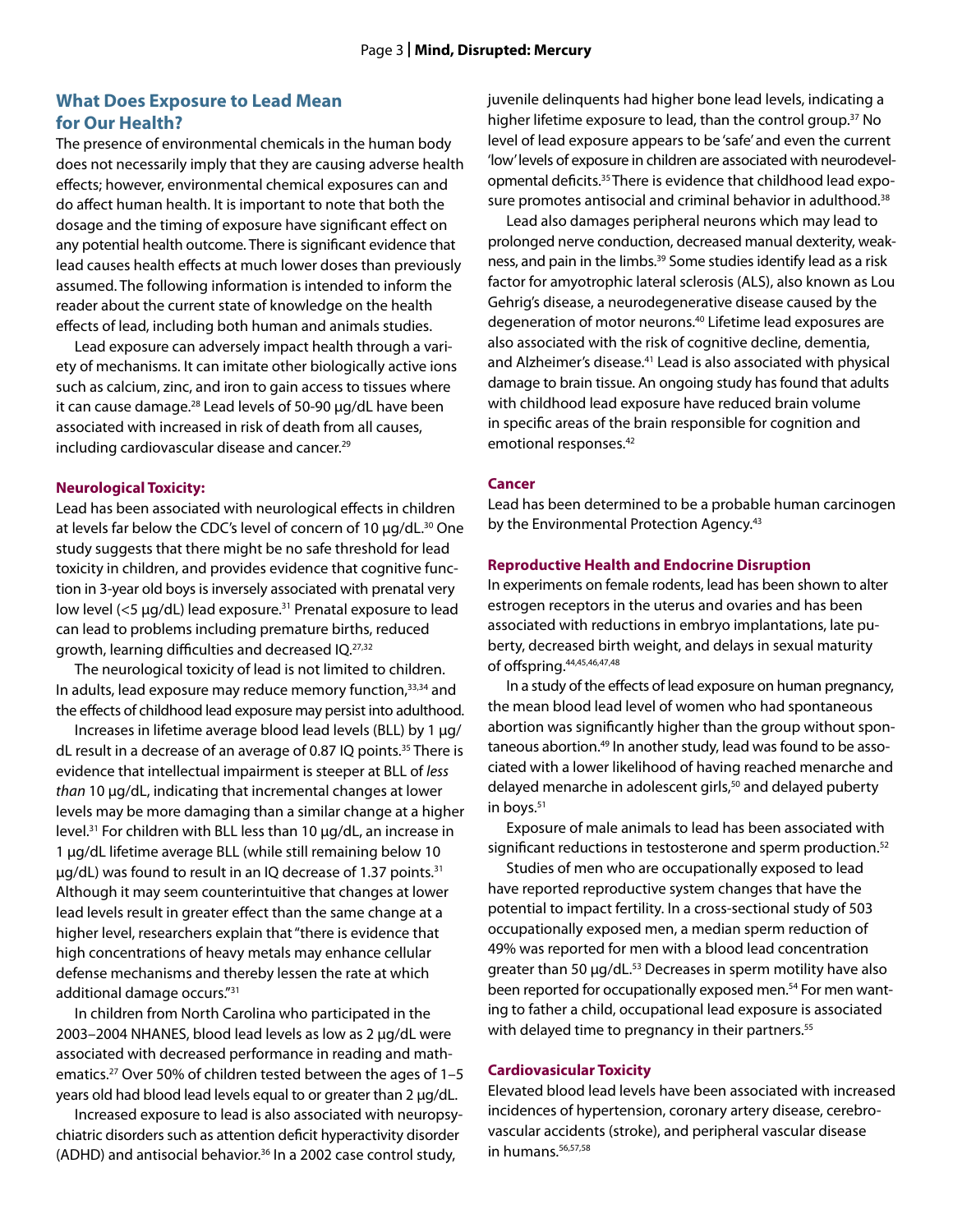## **What Does Exposure to Lead Mean for Our Health?**

The presence of environmental chemicals in the human body does not necessarily imply that they are causing adverse health effects; however, environmental chemical exposures can and do affect human health. It is important to note that both the dosage and the timing of exposure have significant effect on any potential health outcome. There is significant evidence that lead causes health effects at much lower doses than previously assumed. The following information is intended to inform the reader about the current state of knowledge on the health effects of lead, including both human and animals studies.

Lead exposure can adversely impact health through a variety of mechanisms. It can imitate other biologically active ions such as calcium, zinc, and iron to gain access to tissues where it can cause damage.<sup>28</sup> Lead levels of 50-90 μg/dL have been associated with increased in risk of death from all causes, including cardiovascular disease and cancer.<sup>29</sup>

#### **Neurological Toxicity:**

Lead has been associated with neurological effects in children at levels far below the CDC's level of concern of 10 μg/dL.30 One study suggests that there might be no safe threshold for lead toxicity in children, and provides evidence that cognitive function in 3-year old boys is inversely associated with prenatal very low level (<5 μg/dL) lead exposure.<sup>31</sup> Prenatal exposure to lead can lead to problems including premature births, reduced growth, learning difficulties and decreased IQ.27,32

The neurological toxicity of lead is not limited to children. In adults, lead exposure may reduce memory function,33,34 and the effects of childhood lead exposure may persist into adulthood.

Increases in lifetime average blood lead levels (BLL) by 1 μg/ dL result in a decrease of an average of 0.87 IQ points.<sup>35</sup> There is evidence that intellectual impairment is steeper at BLL of *less than* 10 μg/dL, indicating that incremental changes at lower levels may be more damaging than a similar change at a higher level.31 For children with BLL less than 10 μg/dL, an increase in 1 μg/dL lifetime average BLL (while still remaining below 10 μg/dL) was found to result in an IQ decrease of 1.37 points.<sup>31</sup> Although it may seem counterintuitive that changes at lower lead levels result in greater effect than the same change at a higher level, researchers explain that "there is evidence that high concentrations of heavy metals may enhance cellular defense mechanisms and thereby lessen the rate at which additional damage occurs."31

In children from North Carolina who participated in the 2003–2004 NHANES, blood lead levels as low as 2 μg/dL were associated with decreased performance in reading and mathematics.27 Over 50% of children tested between the ages of 1–5 years old had blood lead levels equal to or greater than 2 μg/dL.

Increased exposure to lead is also associated with neuropsychiatric disorders such as attention deficit hyperactivity disorder (ADHD) and antisocial behavior.<sup>36</sup> In a 2002 case control study,

juvenile delinquents had higher bone lead levels, indicating a higher lifetime exposure to lead, than the control group.<sup>37</sup> No level of lead exposure appears to be 'safe' and even the current 'low' levels of exposure in children are associated with neurodevelopmental deficits.35 There is evidence that childhood lead exposure promotes antisocial and criminal behavior in adulthood.<sup>38</sup>

Lead also damages peripheral neurons which may lead to prolonged nerve conduction, decreased manual dexterity, weakness, and pain in the limbs.<sup>39</sup> Some studies identify lead as a risk factor for amyotrophic lateral sclerosis (ALS), also known as Lou Gehrig's disease, a neurodegenerative disease caused by the degeneration of motor neurons.40 Lifetime lead exposures are also associated with the risk of cognitive decline, dementia, and Alzheimer's disease.<sup>41</sup> Lead is also associated with physical damage to brain tissue. An ongoing study has found that adults with childhood lead exposure have reduced brain volume in specific areas of the brain responsible for cognition and emotional responses.<sup>42</sup>

#### **Cancer**

Lead has been determined to be a probable human carcinogen by the Environmental Protection Agency.<sup>43</sup>

#### **Reproductive Health and Endocrine Disruption**

In experiments on female rodents, lead has been shown to alter estrogen receptors in the uterus and ovaries and has been associated with reductions in embryo implantations, late puberty, decreased birth weight, and delays in sexual maturity of offspring.44,45,46,47,48

In a study of the effects of lead exposure on human pregnancy, the mean blood lead level of women who had spontaneous abortion was significantly higher than the group without spontaneous abortion.49 In another study, lead was found to be associated with a lower likelihood of having reached menarche and delayed menarche in adolescent girls,<sup>50</sup> and delayed puberty in boys.<sup>51</sup>

Exposure of male animals to lead has been associated with significant reductions in testosterone and sperm production.<sup>52</sup>

Studies of men who are occupationally exposed to lead have reported reproductive system changes that have the potential to impact fertility. In a cross-sectional study of 503 occupationally exposed men, a median sperm reduction of 49% was reported for men with a blood lead concentration greater than 50 μg/dL.<sup>53</sup> Decreases in sperm motility have also been reported for occupationally exposed men.54 For men wanting to father a child, occupational lead exposure is associated with delayed time to pregnancy in their partners.<sup>55</sup>

#### **Cardiovasicular Toxicity**

Elevated blood lead levels have been associated with increased incidences of hypertension, coronary artery disease, cerebrovascular accidents (stroke), and peripheral vascular disease in humans $56,57,58$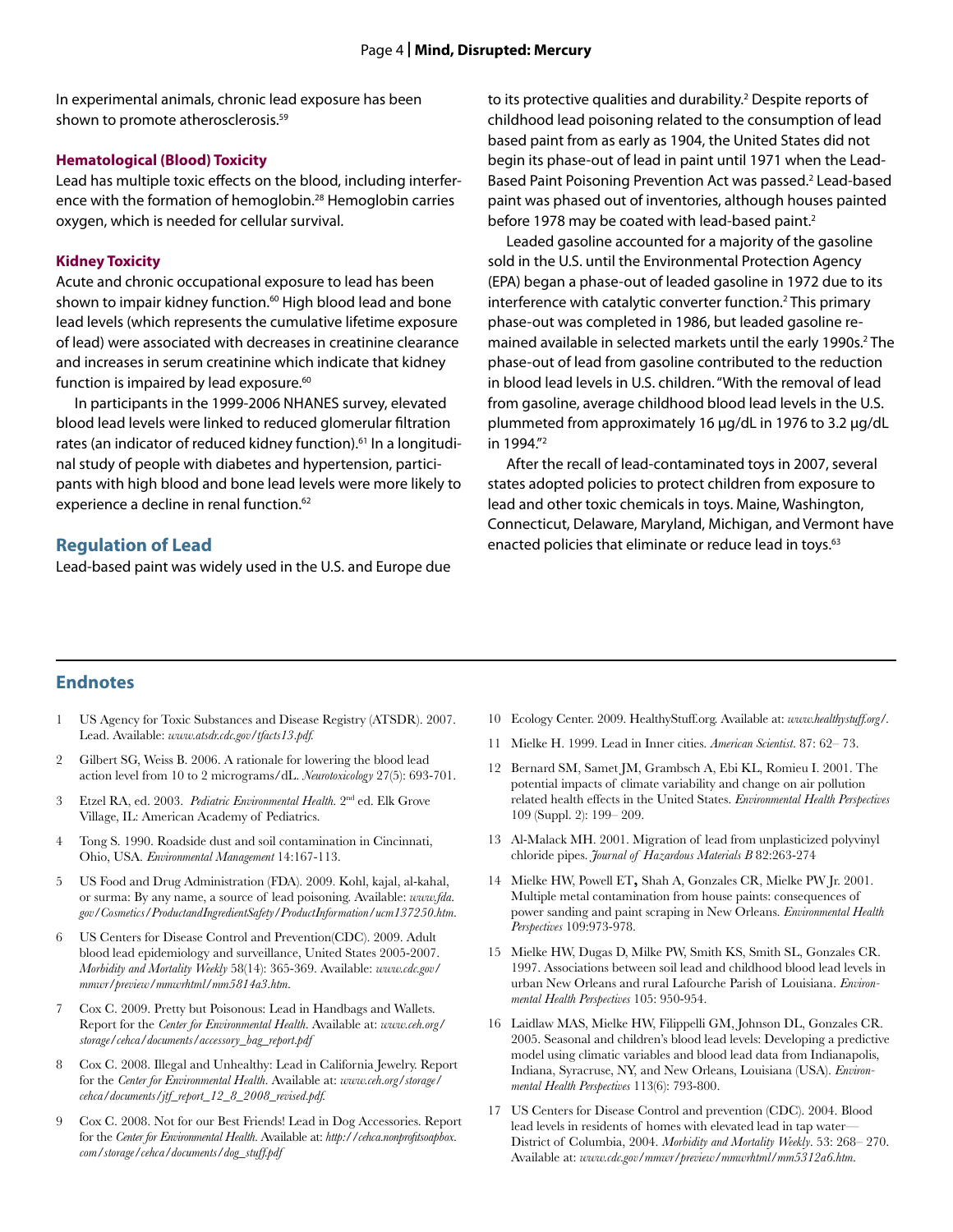In experimental animals, chronic lead exposure has been shown to promote atherosclerosis.<sup>59</sup>

#### **Hematological (Blood) Toxicity**

Lead has multiple toxic effects on the blood, including interference with the formation of hemoglobin.28 Hemoglobin carries oxygen, which is needed for cellular survival.

#### **Kidney Toxicity**

Acute and chronic occupational exposure to lead has been shown to impair kidney function.<sup>60</sup> High blood lead and bone lead levels (which represents the cumulative lifetime exposure of lead) were associated with decreases in creatinine clearance and increases in serum creatinine which indicate that kidney function is impaired by lead exposure.<sup>60</sup>

In participants in the 1999-2006 NHANES survey, elevated blood lead levels were linked to reduced glomerular filtration rates (an indicator of reduced kidney function).<sup>61</sup> In a longitudinal study of people with diabetes and hypertension, participants with high blood and bone lead levels were more likely to experience a decline in renal function.<sup>62</sup>

### **Regulation of Lead**

Lead-based paint was widely used in the U.S. and Europe due

to its protective qualities and durability.<sup>2</sup> Despite reports of childhood lead poisoning related to the consumption of lead based paint from as early as 1904, the United States did not begin its phase-out of lead in paint until 1971 when the Lead-Based Paint Poisoning Prevention Act was passed.<sup>2</sup> Lead-based paint was phased out of inventories, although houses painted before 1978 may be coated with lead-based paint.<sup>2</sup>

Leaded gasoline accounted for a majority of the gasoline sold in the U.S. until the Environmental Protection Agency (EPA) began a phase-out of leaded gasoline in 1972 due to its interference with catalytic converter function.<sup>2</sup> This primary phase-out was completed in 1986, but leaded gasoline remained available in selected markets until the early 1990s.<sup>2</sup> The phase-out of lead from gasoline contributed to the reduction in blood lead levels in U.S. children. "With the removal of lead from gasoline, average childhood blood lead levels in the U.S. plummeted from approximately 16 μg/dL in 1976 to 3.2 μg/dL in 1994."2

After the recall of lead-contaminated toys in 2007, several states adopted policies to protect children from exposure to lead and other toxic chemicals in toys. Maine, Washington, Connecticut, Delaware, Maryland, Michigan, and Vermont have enacted policies that eliminate or reduce lead in toys.<sup>63</sup>

## **Endnotes**

- 1 US Agency for Toxic Substances and Disease Registry (ATSDR). 2007. Lead. Available: *www.atsdr.cdc.gov/tfacts13.pdf.*
- 2 Gilbert SG, Weiss B. 2006. A rationale for lowering the blood lead action level from 10 to 2 micrograms/dL. *Neurotoxicology* 27(5): 693-701.
- 3 Etzel RA, ed. 2003. *Pediatric Environmental Health*. 2nd ed. Elk Grove Village, IL: American Academy of Pediatrics.
- 4 Tong S. 1990. Roadside dust and soil contamination in Cincinnati, Ohio, USA. *Environmental Management* 14:167-113.
- 5 US Food and Drug Administration (FDA). 2009. Kohl, kajal, al-kahal, or surma: By any name, a source of lead poisoning. Available: *www.fda. gov/Cosmetics/ProductandIngredientSafety/ProductInformation/ucm137250.htm.*
- 6 US Centers for Disease Control and Prevention(CDC). 2009. Adult blood lead epidemiology and surveillance, United States 2005-2007. *Morbidity and Mortality Weekly* 58(14): 365-369. Available: *www.cdc.gov/ mmwr/preview/mmwrhtml/mm5814a3.htm.*
- 7 Cox C. 2009. Pretty but Poisonous: Lead in Handbags and Wallets. Report for the *Center for Environmental Health*. Available at: *www.ceh.org/ storage/cehca/documents/accessory\_bag\_report.pdf*
- 8 Cox C. 2008. Illegal and Unhealthy: Lead in California Jewelry. Report for the *Center for Environmental Health*. Available at: *www.ceh.org/storage/ cehca/documents/jtf\_report\_12\_8\_2008\_revised.pdf.*
- 9 Cox C. 2008. Not for our Best Friends! Lead in Dog Accessories. Report for the *Center for Environmental Health*. Available at: *http://cehca.nonprofitsoapbox. com/storage/cehca/documents/dog\_stuff.pdf*
- 10 Ecology Center. 2009. HealthyStuff.org. Available at: *www.healthystuff.org/.*
- 11 Mielke H. 1999. Lead in Inner cities. *American Scientist*. 87: 62– 73.
- 12 Bernard SM, Samet JM, Grambsch A, Ebi KL, Romieu I. 2001. The potential impacts of climate variability and change on air pollution related health effects in the United States. *Environmental Health Perspectives* 109 (Suppl. 2): 199– 209.
- 13 Al-Malack MH. 2001. Migration of lead from unplasticized polyvinyl chloride pipes. *Journal of Hazardous Materials B* 82:263-274
- 14 Mielke HW, Powell ET**,** Shah A, Gonzales CR, Mielke PW Jr. 2001. Multiple metal contamination from house paints: consequences of power sanding and paint scraping in New Orleans. *Environmental Health Perspectives* 109:973-978.
- 15 Mielke HW, Dugas D, Milke PW, Smith KS, Smith SL, Gonzales CR. 1997. Associations between soil lead and childhood blood lead levels in urban New Orleans and rural Lafourche Parish of Louisiana. *Environmental Health Perspectives* 105: 950-954.
- 16 Laidlaw MAS, Mielke HW, Filippelli GM, Johnson DL, Gonzales CR. 2005. Seasonal and children's blood lead levels: Developing a predictive model using climatic variables and blood lead data from Indianapolis, Indiana, Syracruse, NY, and New Orleans, Louisiana (USA). *Environmental Health Perspectives* 113(6): 793-800.
- 17 US Centers for Disease Control and prevention (CDC). 2004. Blood lead levels in residents of homes with elevated lead in tap water— District of Columbia, 2004. *Morbidity and Mortality Weekly*. 53: 268– 270. Available at: *www.cdc.gov/mmwr/preview/mmwrhtml/mm5312a6.htm.*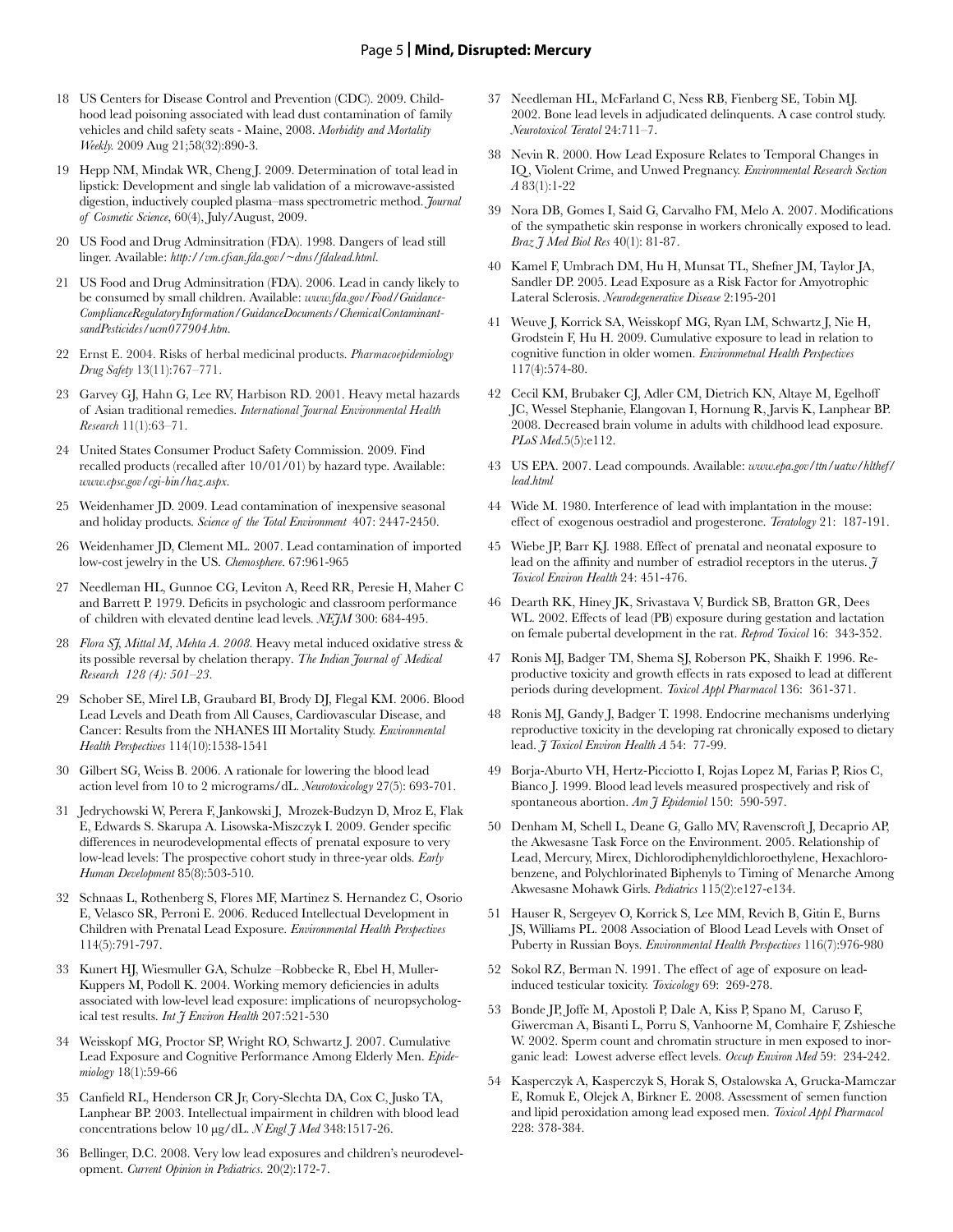#### Page 5 **| Mind, Disrupted: Mercury**

- 18 US Centers for Disease Control and Prevention (CDC). 2009. Childhood lead poisoning associated with lead dust contamination of family vehicles and child safety seats - Maine, 2008. *Morbidity and Mortality Weekly.* 2009 Aug 21;58(32):890-3.
- 19 Hepp NM, Mindak WR, Cheng J. 2009. Determination of total lead in lipstick: Development and single lab validation of a microwave-assisted digestion, inductively coupled plasma–mass spectrometric method. *Journal of Cosmetic Science*, 60(4), July/August, 2009.
- 20 US Food and Drug Adminsitration (FDA). 1998. Dangers of lead still linger. Available: *http://vm.cfsan.fda.gov/~dms/fdalead.html.*
- 21 US Food and Drug Adminsitration (FDA). 2006. Lead in candy likely to be consumed by small children. Available: *www.fda.gov/Food/Guidance-ComplianceRegulatoryInformation/GuidanceDocuments/ChemicalContaminantsandPesticides/ucm077904.htm.*
- 22 Ernst E. 2004. Risks of herbal medicinal products. *Pharmacoepidemiology Drug Safety* 13(11):767–771.
- 23 Garvey GJ, Hahn G, Lee RV, Harbison RD. 2001. Heavy metal hazards of Asian traditional remedies. *International Journal Environmental Health Research* 11(1):63–71.
- 24 United States Consumer Product Safety Commission. 2009. Find recalled products (recalled after 10/01/01) by hazard type. Available: *www.cpsc.gov/cgi-bin/haz.aspx.*
- 25 Weidenhamer JD. 2009. Lead contamination of inexpensive seasonal and holiday products. *Science of the Total Environment* 407: 2447-2450.
- 26 Weidenhamer JD, Clement ML. 2007. Lead contamination of imported low-cost jewelry in the US. *Chemosphere*. 67:961-965
- 27 Needleman HL, Gunnoe CG, Leviton A, Reed RR, Peresie H, Maher C and Barrett P. 1979. Deficits in psychologic and classroom performance of children with elevated dentine lead levels. *NEJM* 300: 684-495.
- 28 *Flora SJ, Mittal M, Mehta A. 2008.* Heavy metal induced oxidative stress & its possible reversal by chelation therapy*. The Indian Journal of Medical Research 128 (4): 501–23.*
- 29 Schober SE, Mirel LB, Graubard BI, Brody DJ, Flegal KM. 2006. Blood Lead Levels and Death from All Causes, Cardiovascular Disease, and Cancer: Results from the NHANES III Mortality Study. *Environmental Health Perspectives* 114(10):1538-1541
- 30 Gilbert SG, Weiss B. 2006. A rationale for lowering the blood lead action level from 10 to 2 micrograms/dL. *Neurotoxicology* 27(5): 693-701.
- 31 Jedrychowski W, Perera F, Jankowski J, Mrozek-Budzyn D, Mroz E, Flak E, Edwards S. Skarupa A. Lisowska-Miszczyk I. 2009. Gender specific differences in neurodevelopmental effects of prenatal exposure to very low-lead levels: The prospective cohort study in three-year olds. *Early Human Development* 85(8):503-510.
- 32 Schnaas L, Rothenberg S, Flores MF, Martinez S. Hernandez C, Osorio E, Velasco SR, Perroni E. 2006. Reduced Intellectual Development in Children with Prenatal Lead Exposure. *Environmental Health Perspectives*  114(5):791-797.
- 33 Kunert HJ, Wiesmuller GA, Schulze –Robbecke R, Ebel H, Muller-Kuppers M, Podoll K. 2004. Working memory deficiencies in adults associated with low-level lead exposure: implications of neuropsychological test results. *Int J Environ Health* 207:521-530
- 34 Weisskopf MG, Proctor SP, Wright RO, Schwartz J. 2007. Cumulative Lead Exposure and Cognitive Performance Among Elderly Men. *Epidemiology* 18(1):59-66
- 35 Canfield RL, Henderson CR Jr, Cory-Slechta DA, Cox C, Jusko TA, Lanphear BP. 2003. Intellectual impairment in children with blood lead concentrations below 10 μg/dL. *N Engl J Med* 348:1517-26.
- 36 Bellinger, D.C. 2008. Very low lead exposures and children's neurodevelopment. *Current Opinion in Pediatrics*. 20(2):172-7.
- 37 Needleman HL, McFarland C, Ness RB, Fienberg SE, Tobin MJ. 2002. Bone lead levels in adjudicated delinquents. A case control study. *Neurotoxicol Teratol* 24:711–7.
- 38 Nevin R. 2000. How Lead Exposure Relates to Temporal Changes in IQ, Violent Crime, and Unwed Pregnancy. *Environmental Research Section A* 83(1):1-22
- 39 Nora DB, Gomes I, Said G, Carvalho FM, Melo A. 2007. Modifications of the sympathetic skin response in workers chronically exposed to lead. *Braz J Med Biol Res* 40(1): 81-87.
- 40 Kamel F, Umbrach DM, Hu H, Munsat TL, Shefner JM, Taylor JA, Sandler DP. 2005. Lead Exposure as a Risk Factor for Amyotrophic Lateral Sclerosis. *Neurodegenerative Disease* 2:195-201
- 41 Weuve J, Korrick SA, Weisskopf MG, Ryan LM, Schwartz J, Nie H, Grodstein F, Hu H. 2009. Cumulative exposure to lead in relation to cognitive function in older women. *Environmetnal Health Perspectives* 117(4):574-80.
- 42 Cecil KM, Brubaker CJ, Adler CM, Dietrich KN, Altaye M, Egelhoff JC, Wessel Stephanie, Elangovan I, Hornung R, Jarvis K, Lanphear BP. 2008. Decreased brain volume in adults with childhood lead exposure. *PLoS Med.*5(5):e112.
- 43 US EPA. 2007. Lead compounds. Available: *www.epa.gov/ttn/uatw/hlthef/ lead.html*
- 44 Wide M. 1980. Interference of lead with implantation in the mouse: effect of exogenous oestradiol and progesterone. *Teratology* 21: 187-191.
- 45 Wiebe JP, Barr KJ. 1988. Effect of prenatal and neonatal exposure to lead on the affinity and number of estradiol receptors in the uterus. *J Toxicol Environ Health* 24: 451-476.
- 46 Dearth RK, Hiney JK, Srivastava V, Burdick SB, Bratton GR, Dees WL. 2002. Effects of lead (PB) exposure during gestation and lactation on female pubertal development in the rat. *Reprod Toxicol* 16: 343-352.
- 47 Ronis MJ, Badger TM, Shema SJ, Roberson PK, Shaikh F. 1996. Reproductive toxicity and growth effects in rats exposed to lead at different periods during development. *Toxicol Appl Pharmacol* 136: 361-371.
- 48 Ronis MJ, Gandy J, Badger T. 1998. Endocrine mechanisms underlying reproductive toxicity in the developing rat chronically exposed to dietary lead. *J Toxicol Environ Health A* 54: 77-99.
- 49 Borja-Aburto VH, Hertz-Picciotto I, Rojas Lopez M, Farias P, Rios C, Bianco J. 1999. Blood lead levels measured prospectively and risk of spontaneous abortion. *Am J Epidemiol* 150: 590-597.
- 50 Denham M, Schell L, Deane G, Gallo MV, Ravenscroft J, Decaprio AP, the Akwesasne Task Force on the Environment. 2005. Relationship of Lead, Mercury, Mirex, Dichlorodiphenyldichloroethylene, Hexachlorobenzene, and Polychlorinated Biphenyls to Timing of Menarche Among Akwesasne Mohawk Girls. *Pediatrics* 115(2):e127-e134.
- 51 Hauser R, Sergeyev O, Korrick S, Lee MM, Revich B, Gitin E, Burns JS, Williams PL. 2008 Association of Blood Lead Levels with Onset of Puberty in Russian Boys. *Environmental Health Perspectives* 116(7):976-980
- 52 Sokol RZ, Berman N. 1991. The effect of age of exposure on leadinduced testicular toxicity. *Toxicology* 69: 269-278.
- 53 Bonde JP, Joffe M, Apostoli P, Dale A, Kiss P, Spano M, Caruso F, Giwercman A, Bisanti L, Porru S, Vanhoorne M, Comhaire F, Zshiesche W. 2002. Sperm count and chromatin structure in men exposed to inorganic lead: Lowest adverse effect levels. *Occup Environ Med* 59: 234-242.
- 54 Kasperczyk A, Kasperczyk S, Horak S, Ostalowska A, Grucka-Mamczar E, Romuk E, Olejek A, Birkner E. 2008. Assessment of semen function and lipid peroxidation among lead exposed men. *Toxicol Appl Pharmacol* 228: 378-384.